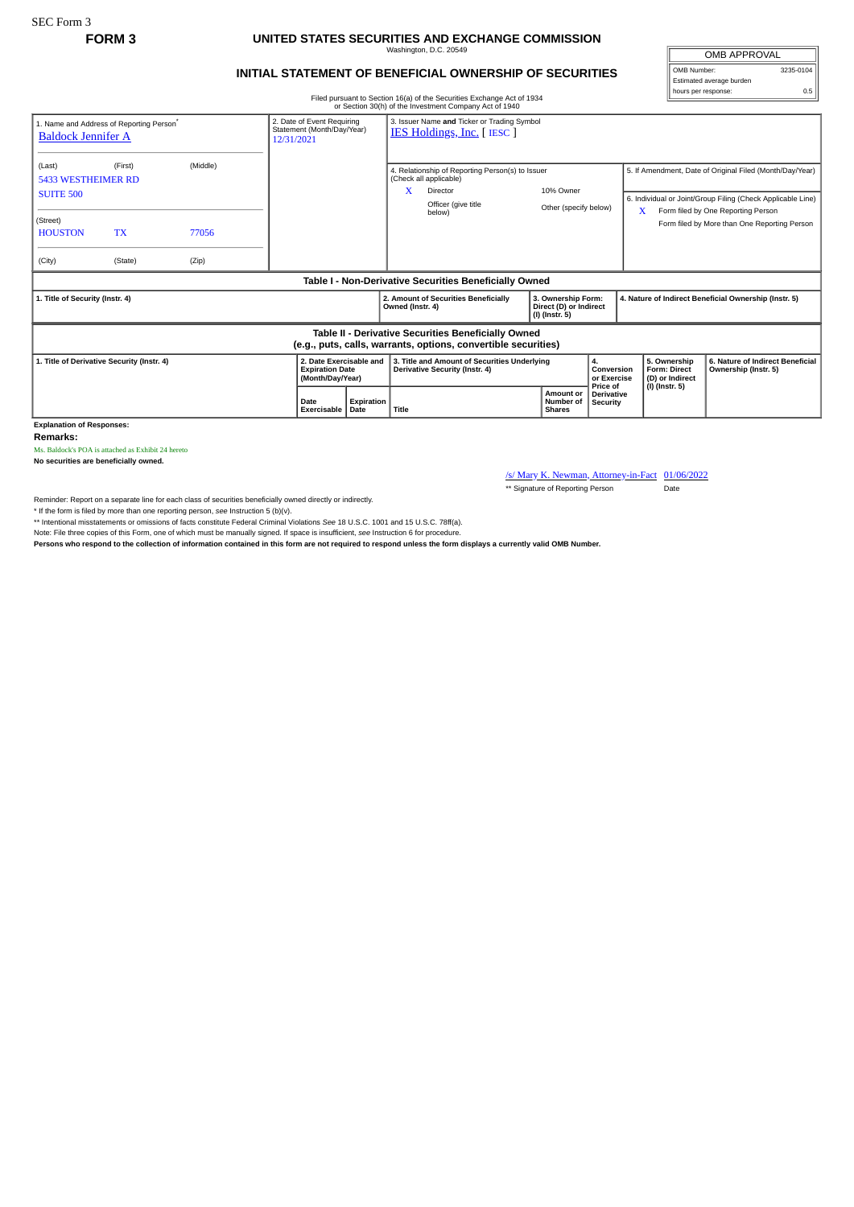SEC Form 3

## **FORM 3 UNITED STATES SECURITIES AND EXCHANGE COMMISSION**

Washington, D.C. 20549

OMB APPROVAL OMB Number: 3235-0104

hours per response: 0.5

Estimated average burden

## **INITIAL STATEMENT OF BENEFICIAL OWNERSHIP OF SECURITIES**

Filed pursuant to Section 16(a) of the Securities Exchange Act of 1934

|                                                                                                                       |                                                                        |          |      |                                                                                 |            |                                                                                | or Section 30(h) of the Investment Company Act of 1940                                                                       |  |                                                                  |                                           |                                                                                                                                                                    |                                                       |                                                          |  |
|-----------------------------------------------------------------------------------------------------------------------|------------------------------------------------------------------------|----------|------|---------------------------------------------------------------------------------|------------|--------------------------------------------------------------------------------|------------------------------------------------------------------------------------------------------------------------------|--|------------------------------------------------------------------|-------------------------------------------|--------------------------------------------------------------------------------------------------------------------------------------------------------------------|-------------------------------------------------------|----------------------------------------------------------|--|
| 1. Name and Address of Reporting Person <sup>®</sup><br><b>Baldock Jennifer A</b>                                     | 2. Date of Event Requiring<br>Statement (Month/Day/Year)<br>12/31/2021 |          |      | 3. Issuer Name and Ticker or Trading Symbol<br><b>IES Holdings, Inc.</b> [IESC] |            |                                                                                |                                                                                                                              |  |                                                                  |                                           |                                                                                                                                                                    |                                                       |                                                          |  |
| (Last)<br><b>5433 WESTHEIMER RD</b><br><b>SUITE 500</b>                                                               | (First)                                                                | (Middle) |      |                                                                                 |            |                                                                                | 4. Relationship of Reporting Person(s) to Issuer<br>(Check all applicable)<br>x<br>Director<br>Officer (give title<br>below) |  | 10% Owner<br>Other (specify below)                               |                                           | 5. If Amendment, Date of Original Filed (Month/Day/Year)<br>6. Individual or Joint/Group Filing (Check Applicable Line)<br>Form filed by One Reporting Person<br>X |                                                       |                                                          |  |
| (Street)<br><b>HOUSTON</b>                                                                                            | <b>TX</b>                                                              | 77056    |      |                                                                                 |            |                                                                                |                                                                                                                              |  |                                                                  |                                           |                                                                                                                                                                    |                                                       | Form filed by More than One Reporting Person             |  |
| (City)                                                                                                                | (State)                                                                | (Zip)    |      |                                                                                 |            |                                                                                |                                                                                                                              |  |                                                                  |                                           |                                                                                                                                                                    |                                                       |                                                          |  |
|                                                                                                                       |                                                                        |          |      |                                                                                 |            |                                                                                | Table I - Non-Derivative Securities Beneficially Owned                                                                       |  |                                                                  |                                           |                                                                                                                                                                    |                                                       |                                                          |  |
| 1. Title of Security (Instr. 4)                                                                                       |                                                                        |          |      |                                                                                 |            | Owned (Instr. 4)                                                               | 2. Amount of Securities Beneficially                                                                                         |  | 3. Ownership Form:<br>Direct (D) or Indirect<br>$(I)$ (Instr. 5) |                                           |                                                                                                                                                                    | 4. Nature of Indirect Beneficial Ownership (Instr. 5) |                                                          |  |
| Table II - Derivative Securities Beneficially Owned<br>(e.g., puts, calls, warrants, options, convertible securities) |                                                                        |          |      |                                                                                 |            |                                                                                |                                                                                                                              |  |                                                                  |                                           |                                                                                                                                                                    |                                                       |                                                          |  |
| 1. Title of Derivative Security (Instr. 4)                                                                            |                                                                        |          |      | 2. Date Exercisable and<br><b>Expiration Date</b><br>(Month/Day/Year)           |            | 3. Title and Amount of Securities Underlying<br>Derivative Security (Instr. 4) |                                                                                                                              |  |                                                                  | 4.<br>Conversion<br>or Exercise           |                                                                                                                                                                    | 5. Ownership<br>Form: Direct<br>(D) or Indirect       | 6. Nature of Indirect Beneficial<br>Ownership (Instr. 5) |  |
|                                                                                                                       |                                                                        |          | Date | Exercisable Date                                                                | Expiration | Title                                                                          |                                                                                                                              |  | Amount or<br>Number of<br><b>Shares</b>                          | Price of<br><b>Derivative</b><br>Security |                                                                                                                                                                    | $(I)$ (Instr. 5)                                      |                                                          |  |

**Explanation of Responses:**

**Remarks:**

Ms. Baldock's POA is attached as Exhibit 24 hereto

**No securities are beneficially owned.**

/s/ Mary K. Newman, Attorney-in-Fact 01/06/2022 \*\* Signature of Reporting Person Date

Reminder: Report on a separate line for each class of securities beneficially owned directly or indirectly.

\* If the form is filed by more than one reporting person, *see* Instruction 5 (b)(v).

\*\* Intentional misstatements or omissions of facts constitute Federal Criminal Violations *See* 18 U.S.C. 1001 and 15 U.S.C. 78ff(a).

Note: File three copies of this Form, one of which must be manually signed. If space is insufficient, see Instruction 6 for procedure.<br>Persons who respond to the collection of information contained in this form are not req